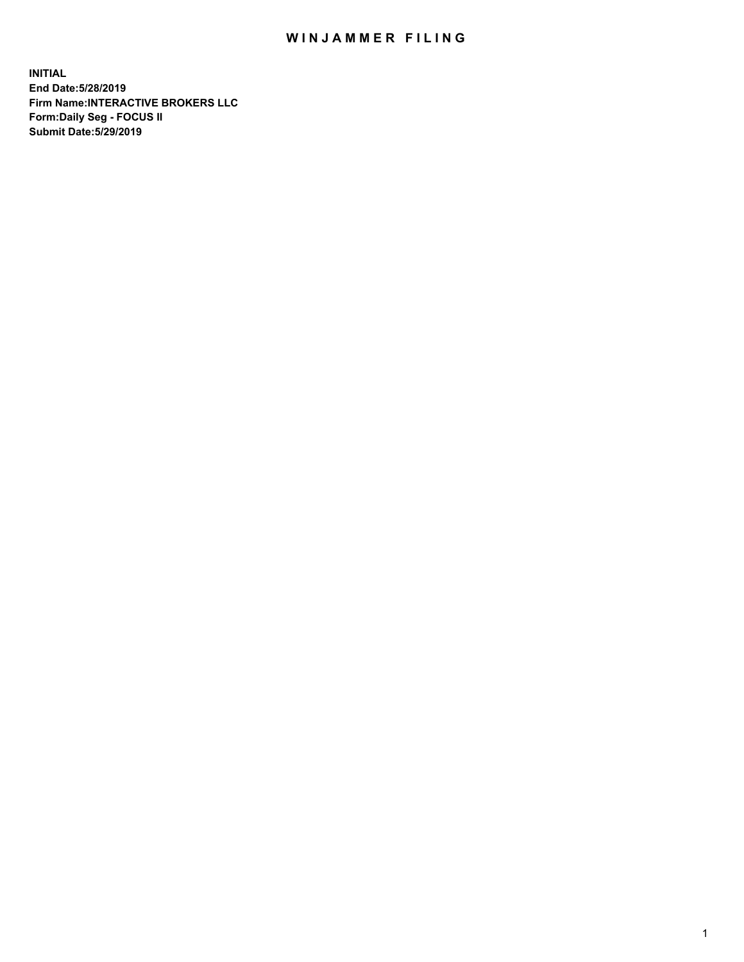## WIN JAMMER FILING

**INITIAL End Date:5/28/2019 Firm Name:INTERACTIVE BROKERS LLC Form:Daily Seg - FOCUS II Submit Date:5/29/2019**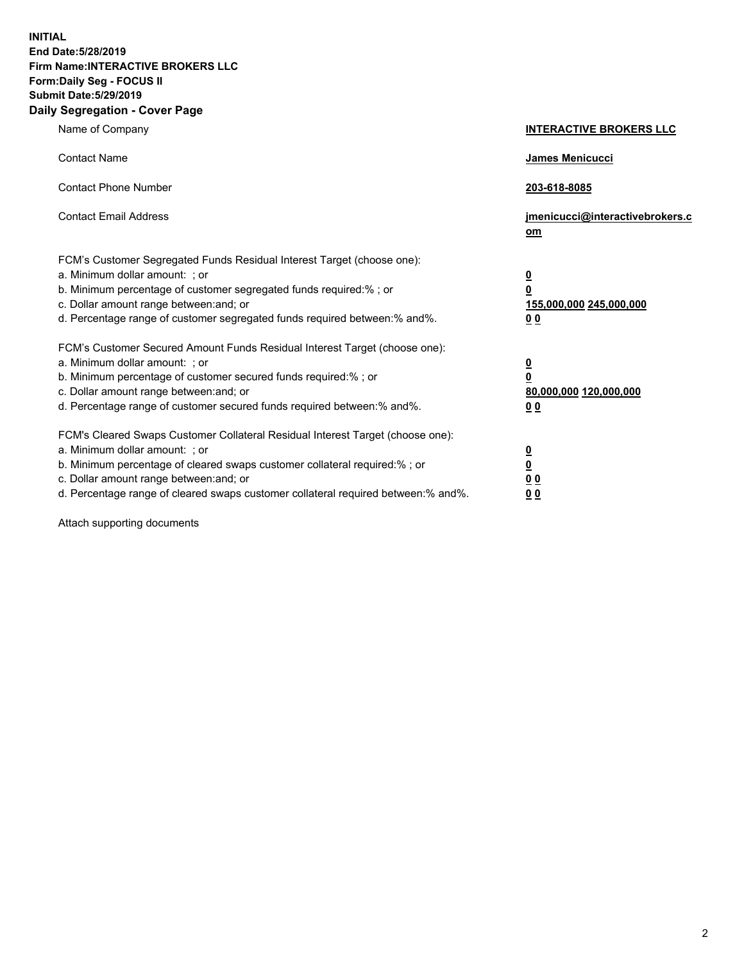**INITIAL End Date:5/28/2019 Firm Name:INTERACTIVE BROKERS LLC Form:Daily Seg - FOCUS II Submit Date:5/29/2019 Daily Segregation - Cover Page**

| Name of Company                                                                                                                                                                                                                                                                                                                | <b>INTERACTIVE BROKERS LLC</b>                                                                  |
|--------------------------------------------------------------------------------------------------------------------------------------------------------------------------------------------------------------------------------------------------------------------------------------------------------------------------------|-------------------------------------------------------------------------------------------------|
| <b>Contact Name</b>                                                                                                                                                                                                                                                                                                            | James Menicucci                                                                                 |
| <b>Contact Phone Number</b>                                                                                                                                                                                                                                                                                                    | 203-618-8085                                                                                    |
| <b>Contact Email Address</b>                                                                                                                                                                                                                                                                                                   | jmenicucci@interactivebrokers.c<br>om                                                           |
| FCM's Customer Segregated Funds Residual Interest Target (choose one):<br>a. Minimum dollar amount: ; or<br>b. Minimum percentage of customer segregated funds required:% ; or<br>c. Dollar amount range between: and; or<br>d. Percentage range of customer segregated funds required between:% and%.                         | $\overline{\mathbf{0}}$<br>$\overline{\mathbf{0}}$<br>155,000,000 245,000,000<br>0 <sub>0</sub> |
| FCM's Customer Secured Amount Funds Residual Interest Target (choose one):<br>a. Minimum dollar amount: ; or<br>b. Minimum percentage of customer secured funds required:% ; or<br>c. Dollar amount range between: and; or<br>d. Percentage range of customer secured funds required between:% and%.                           | $\overline{\mathbf{0}}$<br>0<br>80,000,000 120,000,000<br>0 <sub>0</sub>                        |
| FCM's Cleared Swaps Customer Collateral Residual Interest Target (choose one):<br>a. Minimum dollar amount: ; or<br>b. Minimum percentage of cleared swaps customer collateral required:% ; or<br>c. Dollar amount range between: and; or<br>d. Percentage range of cleared swaps customer collateral required between:% and%. | $\overline{\mathbf{0}}$<br><u>0</u><br>$\underline{0}$ $\underline{0}$<br>00                    |

Attach supporting documents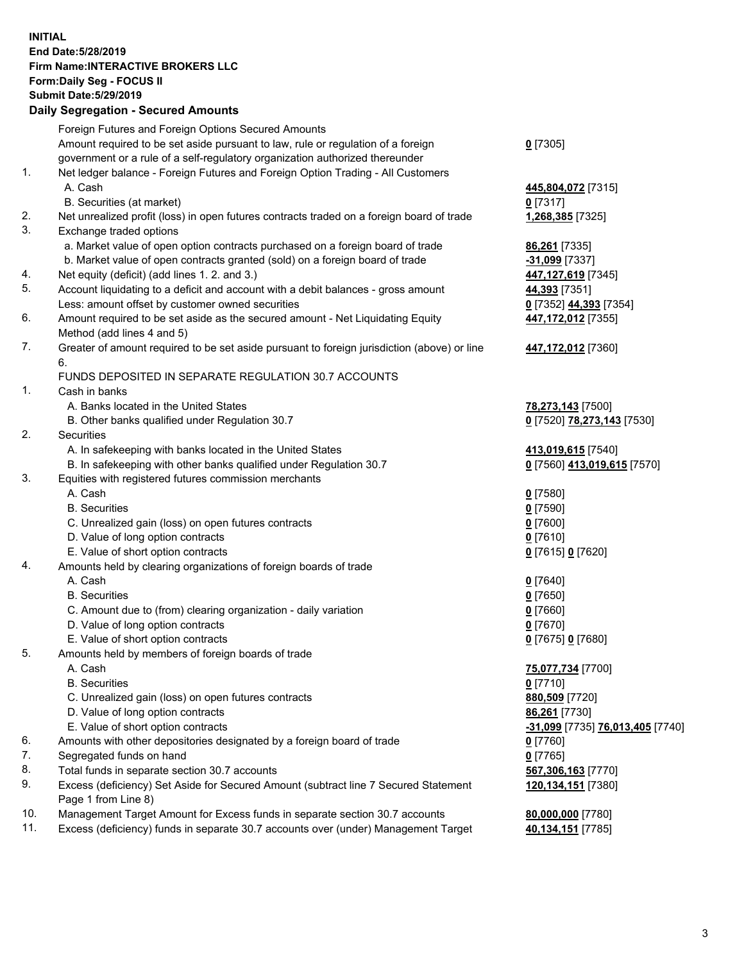## **INITIAL End Date:5/28/2019 Firm Name:INTERACTIVE BROKERS LLC Form:Daily Seg - FOCUS II Submit Date:5/29/2019 Daily Segregation - Secured Amounts**

|     | Daily Segregation - Secured Aniounts                                                        |                                  |
|-----|---------------------------------------------------------------------------------------------|----------------------------------|
|     | Foreign Futures and Foreign Options Secured Amounts                                         |                                  |
|     | Amount required to be set aside pursuant to law, rule or regulation of a foreign            | $0$ [7305]                       |
|     | government or a rule of a self-regulatory organization authorized thereunder                |                                  |
| 1.  | Net ledger balance - Foreign Futures and Foreign Option Trading - All Customers             |                                  |
|     | A. Cash                                                                                     | 445,804,072 [7315]               |
|     | B. Securities (at market)                                                                   | $0$ [7317]                       |
| 2.  | Net unrealized profit (loss) in open futures contracts traded on a foreign board of trade   | 1,268,385 [7325]                 |
| 3.  | Exchange traded options                                                                     |                                  |
|     | a. Market value of open option contracts purchased on a foreign board of trade              | 86,261 [7335]                    |
|     | b. Market value of open contracts granted (sold) on a foreign board of trade                | -31,099 [7337]                   |
| 4.  | Net equity (deficit) (add lines 1.2. and 3.)                                                | 447,127,619 [7345]               |
| 5.  | Account liquidating to a deficit and account with a debit balances - gross amount           | 44,393 [7351]                    |
|     | Less: amount offset by customer owned securities                                            | 0 [7352] 44,393 [7354]           |
| 6.  | Amount required to be set aside as the secured amount - Net Liquidating Equity              | 447,172,012 [7355]               |
|     | Method (add lines 4 and 5)                                                                  |                                  |
| 7.  | Greater of amount required to be set aside pursuant to foreign jurisdiction (above) or line | 447,172,012 [7360]               |
|     | 6.                                                                                          |                                  |
|     | FUNDS DEPOSITED IN SEPARATE REGULATION 30.7 ACCOUNTS                                        |                                  |
| 1.  | Cash in banks                                                                               |                                  |
|     | A. Banks located in the United States                                                       | 78,273,143 [7500]                |
|     | B. Other banks qualified under Regulation 30.7                                              | 0 [7520] 78,273,143 [7530]       |
| 2.  | Securities                                                                                  |                                  |
|     | A. In safekeeping with banks located in the United States                                   | 413,019,615 [7540]               |
| 3.  | B. In safekeeping with other banks qualified under Regulation 30.7                          | 0 [7560] 413,019,615 [7570]      |
|     | Equities with registered futures commission merchants<br>A. Cash                            |                                  |
|     | <b>B.</b> Securities                                                                        | $0$ [7580]<br>$0$ [7590]         |
|     | C. Unrealized gain (loss) on open futures contracts                                         | $0$ [7600]                       |
|     | D. Value of long option contracts                                                           | $0$ [7610]                       |
|     | E. Value of short option contracts                                                          | 0 [7615] 0 [7620]                |
| 4.  | Amounts held by clearing organizations of foreign boards of trade                           |                                  |
|     | A. Cash                                                                                     | $0$ [7640]                       |
|     | <b>B.</b> Securities                                                                        | $0$ [7650]                       |
|     | C. Amount due to (from) clearing organization - daily variation                             | $0$ [7660]                       |
|     | D. Value of long option contracts                                                           | $0$ [7670]                       |
|     | E. Value of short option contracts                                                          | 0 [7675] 0 [7680]                |
| 5.  | Amounts held by members of foreign boards of trade                                          |                                  |
|     | A. Cash                                                                                     | 75,077,734 [7700]                |
|     | <b>B.</b> Securities                                                                        | $0$ [7710]                       |
|     | C. Unrealized gain (loss) on open futures contracts                                         | 880,509 [7720]                   |
|     | D. Value of long option contracts                                                           | 86,261 [7730]                    |
|     | E. Value of short option contracts                                                          | -31,099 [7735] 76,013,405 [7740] |
| 6.  | Amounts with other depositories designated by a foreign board of trade                      | 0 [7760]                         |
| 7.  | Segregated funds on hand                                                                    | $0$ [7765]                       |
| 8.  | Total funds in separate section 30.7 accounts                                               | 567,306,163 [7770]               |
| 9.  | Excess (deficiency) Set Aside for Secured Amount (subtract line 7 Secured Statement         | 120,134,151 [7380]               |
|     | Page 1 from Line 8)                                                                         |                                  |
| 10. | Management Target Amount for Excess funds in separate section 30.7 accounts                 | 80,000,000 [7780]                |
| 11. | Excess (deficiency) funds in separate 30.7 accounts over (under) Management Target          | 40,134,151 [7785]                |
|     |                                                                                             |                                  |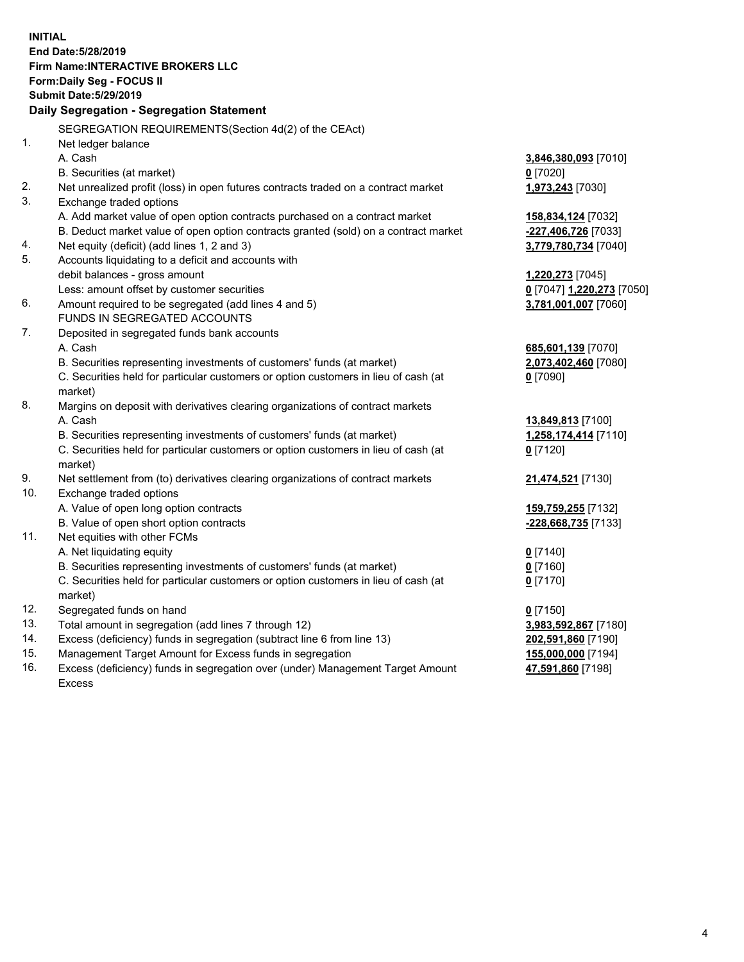**INITIAL End Date:5/28/2019 Firm Name:INTERACTIVE BROKERS LLC Form:Daily Seg - FOCUS II Submit Date:5/29/2019 Daily Segregation - Segregation Statement** SEGREGATION REQUIREMENTS(Section 4d(2) of the CEAct) 1. Net ledger balance A. Cash **3,846,380,093** [7010] B. Securities (at market) **0** [7020] 2. Net unrealized profit (loss) in open futures contracts traded on a contract market **1,973,243** [7030] 3. Exchange traded options A. Add market value of open option contracts purchased on a contract market **158,834,124** [7032] B. Deduct market value of open option contracts granted (sold) on a contract market **-227,406,726** [7033] 4. Net equity (deficit) (add lines 1, 2 and 3) **3,779,780,734** [7040] 5. Accounts liquidating to a deficit and accounts with debit balances - gross amount **1,220,273** [7045] Less: amount offset by customer securities **0** [7047] **1,220,273** [7050] 6. Amount required to be segregated (add lines 4 and 5) **3,781,001,007** [7060] FUNDS IN SEGREGATED ACCOUNTS 7. Deposited in segregated funds bank accounts A. Cash **685,601,139** [7070] B. Securities representing investments of customers' funds (at market) **2,073,402,460** [7080] C. Securities held for particular customers or option customers in lieu of cash (at market) **0** [7090] 8. Margins on deposit with derivatives clearing organizations of contract markets A. Cash **13,849,813** [7100] B. Securities representing investments of customers' funds (at market) **1,258,174,414** [7110] C. Securities held for particular customers or option customers in lieu of cash (at market) **0** [7120] 9. Net settlement from (to) derivatives clearing organizations of contract markets **21,474,521** [7130] 10. Exchange traded options A. Value of open long option contracts **159,759,255** [7132] B. Value of open short option contracts **-228,668,735** [7133] 11. Net equities with other FCMs A. Net liquidating equity **0** [7140] B. Securities representing investments of customers' funds (at market) **0** [7160] C. Securities held for particular customers or option customers in lieu of cash (at market) **0** [7170] 12. Segregated funds on hand **0** [7150] 13. Total amount in segregation (add lines 7 through 12) **3,983,592,867** [7180] 14. Excess (deficiency) funds in segregation (subtract line 6 from line 13) **202,591,860** [7190] 15. Management Target Amount for Excess funds in segregation **155,000,000** [7194]

16. Excess (deficiency) funds in segregation over (under) Management Target Amount Excess

**47,591,860** [7198]